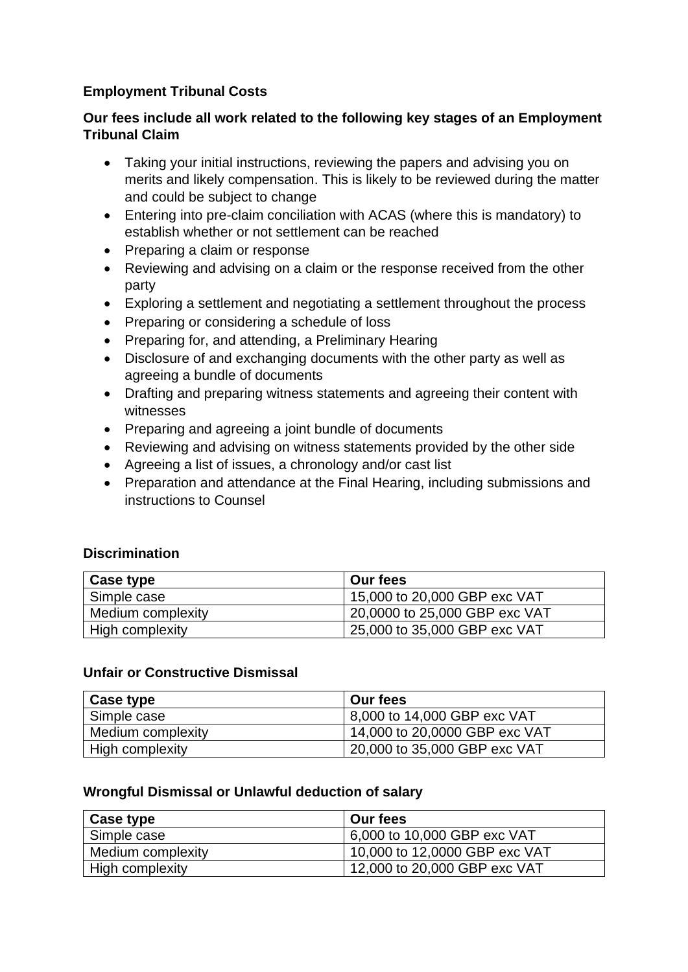# **Employment Tribunal Costs**

## **Our fees include all work related to the following key stages of an Employment Tribunal Claim**

- Taking your initial instructions, reviewing the papers and advising you on merits and likely compensation. This is likely to be reviewed during the matter and could be subject to change
- Entering into pre-claim conciliation with ACAS (where this is mandatory) to establish whether or not settlement can be reached
- Preparing a claim or response
- Reviewing and advising on a claim or the response received from the other party
- Exploring a settlement and negotiating a settlement throughout the process
- Preparing or considering a schedule of loss
- Preparing for, and attending, a Preliminary Hearing
- Disclosure of and exchanging documents with the other party as well as agreeing a bundle of documents
- Drafting and preparing witness statements and agreeing their content with witnesses
- Preparing and agreeing a joint bundle of documents
- Reviewing and advising on witness statements provided by the other side
- Agreeing a list of issues, a chronology and/or cast list
- Preparation and attendance at the Final Hearing, including submissions and instructions to Counsel

## **Discrimination**

| Case type         | Our fees                      |
|-------------------|-------------------------------|
| Simple case       | 15,000 to 20,000 GBP exc VAT  |
| Medium complexity | 20,0000 to 25,000 GBP exc VAT |
| High complexity   | 25,000 to 35,000 GBP exc VAT  |

## **Unfair or Constructive Dismissal**

| Case type         | Our fees                      |
|-------------------|-------------------------------|
| Simple case       | 8,000 to 14,000 GBP exc VAT   |
| Medium complexity | 14,000 to 20,0000 GBP exc VAT |
| High complexity   | 20,000 to 35,000 GBP exc VAT  |

## **Wrongful Dismissal or Unlawful deduction of salary**

| Case type         | <b>Our fees</b>               |
|-------------------|-------------------------------|
| Simple case       | 6,000 to 10,000 GBP exc VAT   |
| Medium complexity | 10,000 to 12,0000 GBP exc VAT |
| High complexity   | 12,000 to 20,000 GBP exc VAT  |